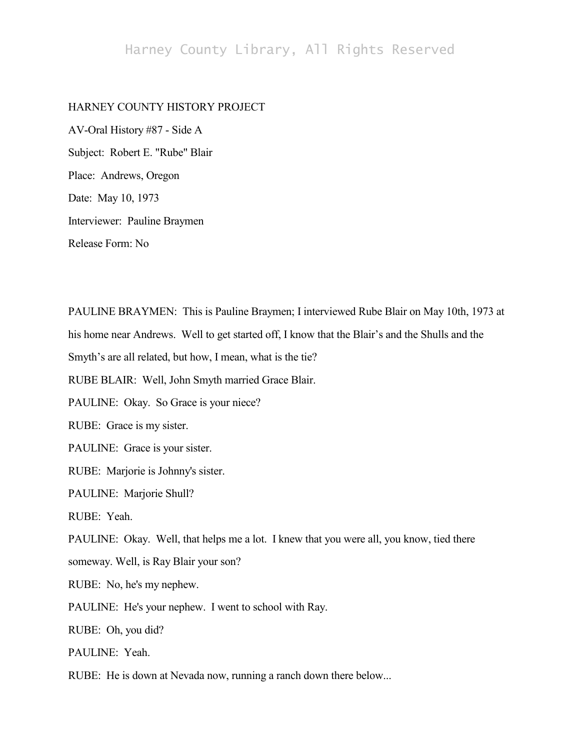## Harney County Library, All Rights Reserved

## HARNEY COUNTY HISTORY PROJECT

AV-Oral History #87 - Side A Subject: Robert E. "Rube" Blair Place: Andrews, Oregon Date: May 10, 1973 Interviewer: Pauline Braymen Release Form: No

PAULINE BRAYMEN: This is Pauline Braymen; I interviewed Rube Blair on May 10th, 1973 at his home near Andrews. Well to get started off, I know that the Blair's and the Shulls and the Smyth's are all related, but how, I mean, what is the tie? RUBE BLAIR: Well, John Smyth married Grace Blair. PAULINE: Okay. So Grace is your niece? RUBE: Grace is my sister. PAULINE: Grace is your sister. RUBE: Marjorie is Johnny's sister. PAULINE: Marjorie Shull? RUBE: Yeah. PAULINE: Okay. Well, that helps me a lot. I knew that you were all, you know, tied there someway. Well, is Ray Blair your son? RUBE: No, he's my nephew. PAULINE: He's your nephew. I went to school with Ray. RUBE: Oh, you did? PAULINE: Yeah. RUBE: He is down at Nevada now, running a ranch down there below...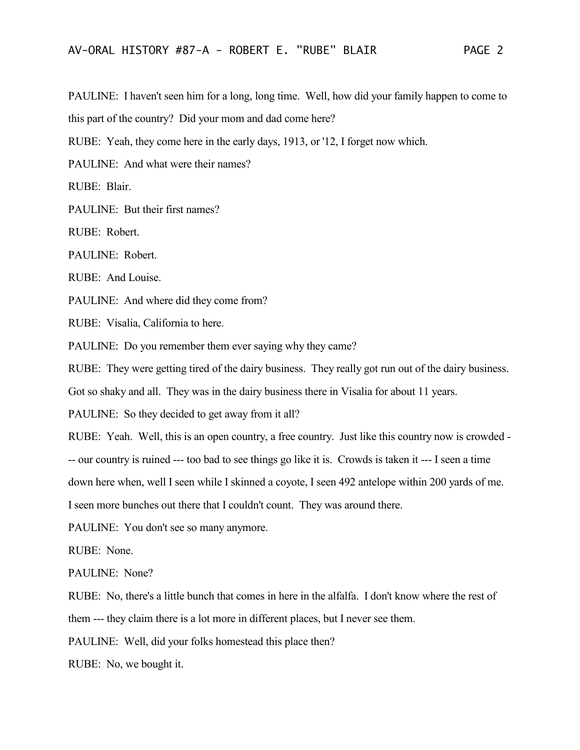PAULINE: I haven't seen him for a long, long time. Well, how did your family happen to come to this part of the country? Did your mom and dad come here?

RUBE: Yeah, they come here in the early days, 1913, or '12, I forget now which.

PAULINE: And what were their names?

RUBE: Blair.

PAULINE: But their first names?

RUBE: Robert.

PAULINE: Robert.

RUBE: And Louise.

PAULINE: And where did they come from?

RUBE: Visalia, California to here.

PAULINE: Do you remember them ever saying why they came?

RUBE: They were getting tired of the dairy business. They really got run out of the dairy business.

Got so shaky and all. They was in the dairy business there in Visalia for about 11 years.

PAULINE: So they decided to get away from it all?

RUBE: Yeah. Well, this is an open country, a free country. Just like this country now is crowded -

-- our country is ruined --- too bad to see things go like it is. Crowds is taken it --- I seen a time

down here when, well I seen while I skinned a coyote, I seen 492 antelope within 200 yards of me.

I seen more bunches out there that I couldn't count. They was around there.

PAULINE: You don't see so many anymore.

RUBE: None.

PAULINE: None?

RUBE: No, there's a little bunch that comes in here in the alfalfa. I don't know where the rest of

them --- they claim there is a lot more in different places, but I never see them.

PAULINE: Well, did your folks homestead this place then?

RUBE: No, we bought it.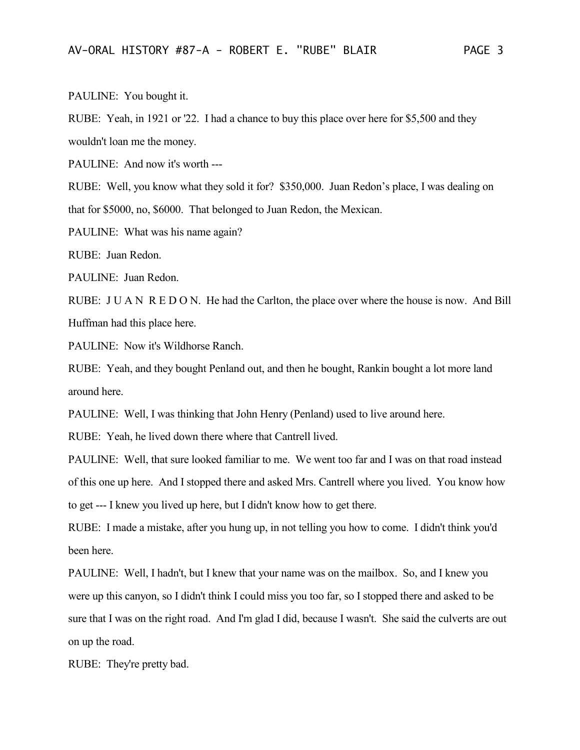PAULINE: You bought it.

RUBE: Yeah, in 1921 or '22. I had a chance to buy this place over here for \$5,500 and they wouldn't loan me the money.

PAULINE: And now it's worth ---

RUBE: Well, you know what they sold it for? \$350,000. Juan Redon's place, I was dealing on that for \$5000, no, \$6000. That belonged to Juan Redon, the Mexican.

PAULINE: What was his name again?

RUBE: Juan Redon.

PAULINE: Juan Redon.

RUBE: J U A N R E D O N. He had the Carlton, the place over where the house is now. And Bill Huffman had this place here.

PAULINE: Now it's Wildhorse Ranch.

RUBE: Yeah, and they bought Penland out, and then he bought, Rankin bought a lot more land around here.

PAULINE: Well, I was thinking that John Henry (Penland) used to live around here.

RUBE: Yeah, he lived down there where that Cantrell lived.

PAULINE: Well, that sure looked familiar to me. We went too far and I was on that road instead of this one up here. And I stopped there and asked Mrs. Cantrell where you lived. You know how to get --- I knew you lived up here, but I didn't know how to get there.

RUBE: I made a mistake, after you hung up, in not telling you how to come. I didn't think you'd been here.

PAULINE: Well, I hadn't, but I knew that your name was on the mailbox. So, and I knew you were up this canyon, so I didn't think I could miss you too far, so I stopped there and asked to be sure that I was on the right road. And I'm glad I did, because I wasn't. She said the culverts are out on up the road.

RUBE: They're pretty bad.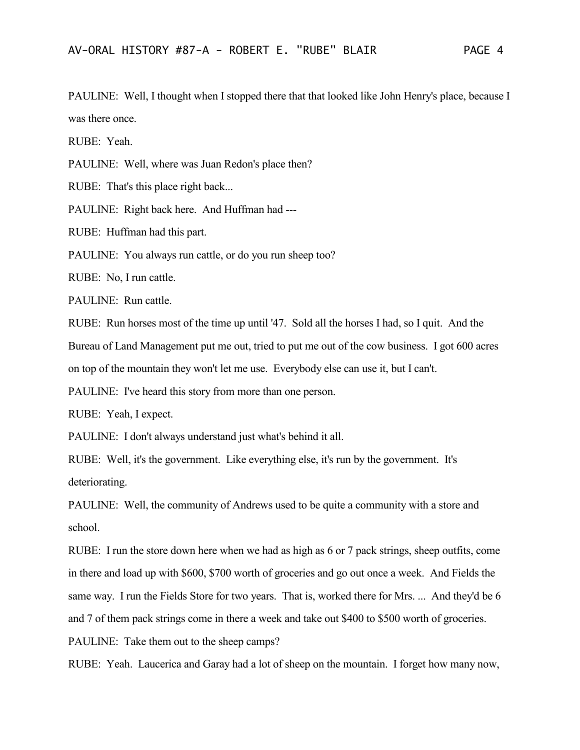PAULINE: Well, I thought when I stopped there that that looked like John Henry's place, because I was there once.

RUBE: Yeah.

PAULINE: Well, where was Juan Redon's place then?

RUBE: That's this place right back...

PAULINE: Right back here. And Huffman had ---

RUBE: Huffman had this part.

PAULINE: You always run cattle, or do you run sheep too?

RUBE: No, I run cattle.

PAULINE: Run cattle.

RUBE: Run horses most of the time up until '47. Sold all the horses I had, so I quit. And the Bureau of Land Management put me out, tried to put me out of the cow business. I got 600 acres on top of the mountain they won't let me use. Everybody else can use it, but I can't.

PAULINE: I've heard this story from more than one person.

RUBE: Yeah, I expect.

PAULINE: I don't always understand just what's behind it all.

RUBE: Well, it's the government. Like everything else, it's run by the government. It's deteriorating.

PAULINE: Well, the community of Andrews used to be quite a community with a store and school.

RUBE: I run the store down here when we had as high as 6 or 7 pack strings, sheep outfits, come in there and load up with \$600, \$700 worth of groceries and go out once a week. And Fields the same way. I run the Fields Store for two years. That is, worked there for Mrs. ... And they'd be 6 and 7 of them pack strings come in there a week and take out \$400 to \$500 worth of groceries. PAULINE: Take them out to the sheep camps?

RUBE: Yeah. Laucerica and Garay had a lot of sheep on the mountain. I forget how many now,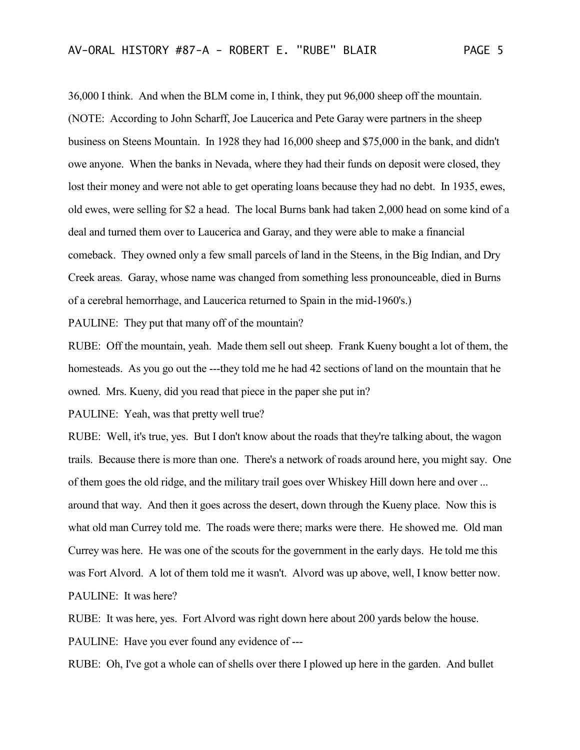36,000 I think. And when the BLM come in, I think, they put 96,000 sheep off the mountain. (NOTE: According to John Scharff, Joe Laucerica and Pete Garay were partners in the sheep business on Steens Mountain. In 1928 they had 16,000 sheep and \$75,000 in the bank, and didn't owe anyone. When the banks in Nevada, where they had their funds on deposit were closed, they lost their money and were not able to get operating loans because they had no debt. In 1935, ewes, old ewes, were selling for \$2 a head. The local Burns bank had taken 2,000 head on some kind of a deal and turned them over to Laucerica and Garay, and they were able to make a financial comeback. They owned only a few small parcels of land in the Steens, in the Big Indian, and Dry Creek areas. Garay, whose name was changed from something less pronounceable, died in Burns of a cerebral hemorrhage, and Laucerica returned to Spain in the mid-1960's.)

PAULINE: They put that many off of the mountain?

RUBE: Off the mountain, yeah. Made them sell out sheep. Frank Kueny bought a lot of them, the homesteads. As you go out the ---they told me he had 42 sections of land on the mountain that he owned. Mrs. Kueny, did you read that piece in the paper she put in?

PAULINE: Yeah, was that pretty well true?

RUBE: Well, it's true, yes. But I don't know about the roads that they're talking about, the wagon trails. Because there is more than one. There's a network of roads around here, you might say. One of them goes the old ridge, and the military trail goes over Whiskey Hill down here and over ... around that way. And then it goes across the desert, down through the Kueny place. Now this is what old man Currey told me. The roads were there; marks were there. He showed me. Old man Currey was here. He was one of the scouts for the government in the early days. He told me this was Fort Alvord. A lot of them told me it wasn't. Alvord was up above, well, I know better now. PAULINE: It was here?

RUBE: It was here, yes. Fort Alvord was right down here about 200 yards below the house. PAULINE: Have you ever found any evidence of ---

RUBE: Oh, I've got a whole can of shells over there I plowed up here in the garden. And bullet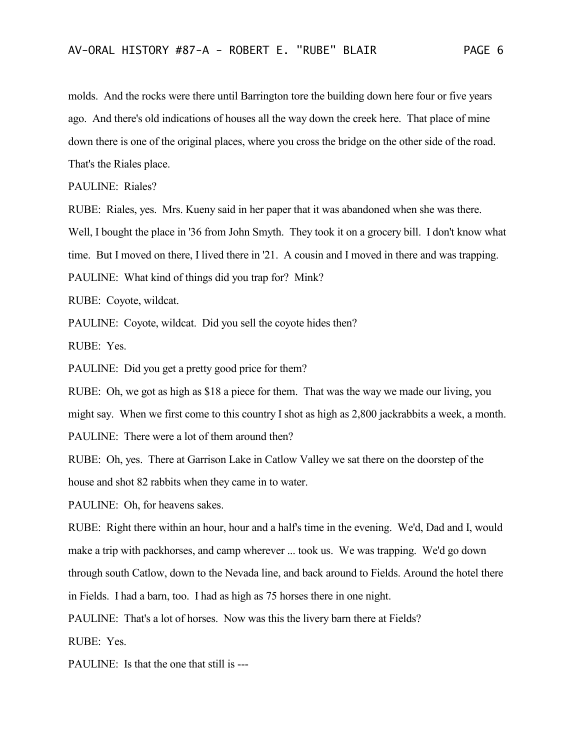molds. And the rocks were there until Barrington tore the building down here four or five years ago. And there's old indications of houses all the way down the creek here. That place of mine down there is one of the original places, where you cross the bridge on the other side of the road. That's the Riales place.

PAULINE: Riales?

RUBE: Riales, yes. Mrs. Kueny said in her paper that it was abandoned when she was there.

Well, I bought the place in '36 from John Smyth. They took it on a grocery bill. I don't know what

time. But I moved on there, I lived there in '21. A cousin and I moved in there and was trapping.

PAULINE: What kind of things did you trap for? Mink?

RUBE: Coyote, wildcat.

PAULINE: Coyote, wildcat. Did you sell the coyote hides then?

RUBE: Yes.

PAULINE: Did you get a pretty good price for them?

RUBE: Oh, we got as high as \$18 a piece for them. That was the way we made our living, you might say. When we first come to this country I shot as high as 2,800 jackrabbits a week, a month. PAULINE: There were a lot of them around then?

RUBE: Oh, yes. There at Garrison Lake in Catlow Valley we sat there on the doorstep of the house and shot 82 rabbits when they came in to water.

PAULINE: Oh, for heavens sakes.

RUBE: Right there within an hour, hour and a half's time in the evening. We'd, Dad and I, would make a trip with packhorses, and camp wherever ... took us. We was trapping. We'd go down through south Catlow, down to the Nevada line, and back around to Fields. Around the hotel there in Fields. I had a barn, too. I had as high as 75 horses there in one night.

PAULINE: That's a lot of horses. Now was this the livery barn there at Fields?

RUBE: Yes.

PAULINE: Is that the one that still is ---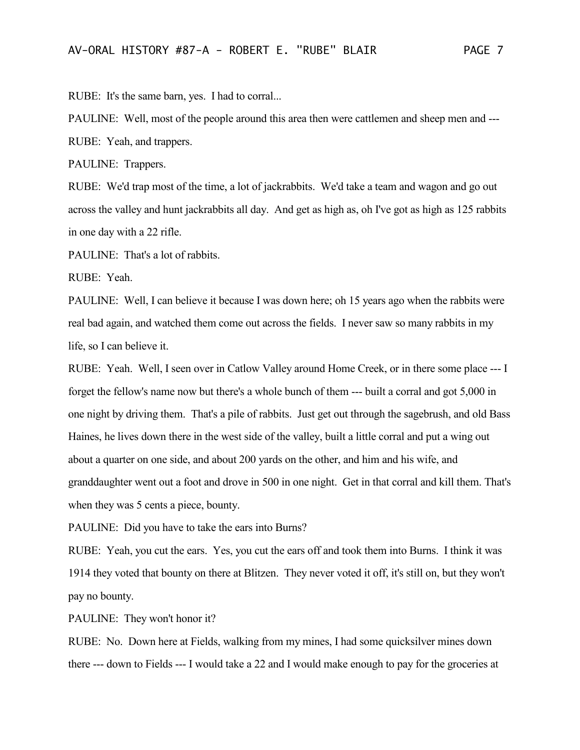RUBE: It's the same barn, yes. I had to corral...

PAULINE: Well, most of the people around this area then were cattlemen and sheep men and --- RUBE: Yeah, and trappers.

PAULINE: Trappers.

RUBE: We'd trap most of the time, a lot of jackrabbits. We'd take a team and wagon and go out across the valley and hunt jackrabbits all day. And get as high as, oh I've got as high as 125 rabbits in one day with a 22 rifle.

PAULINE: That's a lot of rabbits.

RUBE: Yeah.

PAULINE: Well, I can believe it because I was down here; oh 15 years ago when the rabbits were real bad again, and watched them come out across the fields. I never saw so many rabbits in my life, so I can believe it.

RUBE: Yeah. Well, I seen over in Catlow Valley around Home Creek, or in there some place --- I forget the fellow's name now but there's a whole bunch of them --- built a corral and got 5,000 in one night by driving them. That's a pile of rabbits. Just get out through the sagebrush, and old Bass Haines, he lives down there in the west side of the valley, built a little corral and put a wing out about a quarter on one side, and about 200 yards on the other, and him and his wife, and granddaughter went out a foot and drove in 500 in one night. Get in that corral and kill them. That's when they was 5 cents a piece, bounty.

PAULINE: Did you have to take the ears into Burns?

RUBE: Yeah, you cut the ears. Yes, you cut the ears off and took them into Burns. I think it was 1914 they voted that bounty on there at Blitzen. They never voted it off, it's still on, but they won't pay no bounty.

PAULINE: They won't honor it?

RUBE: No. Down here at Fields, walking from my mines, I had some quicksilver mines down there --- down to Fields --- I would take a 22 and I would make enough to pay for the groceries at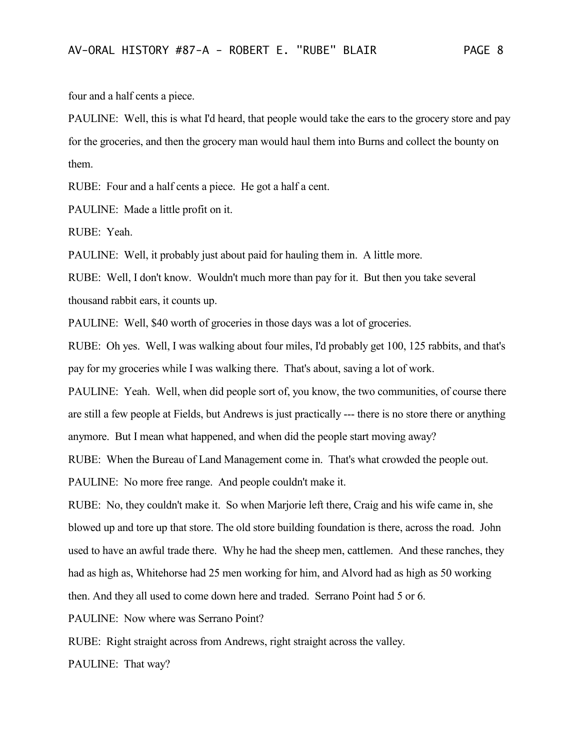four and a half cents a piece.

PAULINE: Well, this is what I'd heard, that people would take the ears to the grocery store and pay for the groceries, and then the grocery man would haul them into Burns and collect the bounty on them.

RUBE: Four and a half cents a piece. He got a half a cent.

PAULINE: Made a little profit on it.

RUBE: Yeah.

PAULINE: Well, it probably just about paid for hauling them in. A little more.

RUBE: Well, I don't know. Wouldn't much more than pay for it. But then you take several thousand rabbit ears, it counts up.

PAULINE: Well, \$40 worth of groceries in those days was a lot of groceries.

RUBE: Oh yes. Well, I was walking about four miles, I'd probably get 100, 125 rabbits, and that's pay for my groceries while I was walking there. That's about, saving a lot of work.

PAULINE: Yeah. Well, when did people sort of, you know, the two communities, of course there are still a few people at Fields, but Andrews is just practically --- there is no store there or anything anymore. But I mean what happened, and when did the people start moving away?

RUBE: When the Bureau of Land Management come in. That's what crowded the people out.

PAULINE: No more free range. And people couldn't make it.

RUBE: No, they couldn't make it. So when Marjorie left there, Craig and his wife came in, she blowed up and tore up that store. The old store building foundation is there, across the road. John used to have an awful trade there. Why he had the sheep men, cattlemen. And these ranches, they had as high as, Whitehorse had 25 men working for him, and Alvord had as high as 50 working then. And they all used to come down here and traded. Serrano Point had 5 or 6.

PAULINE: Now where was Serrano Point?

RUBE: Right straight across from Andrews, right straight across the valley.

PAULINE: That way?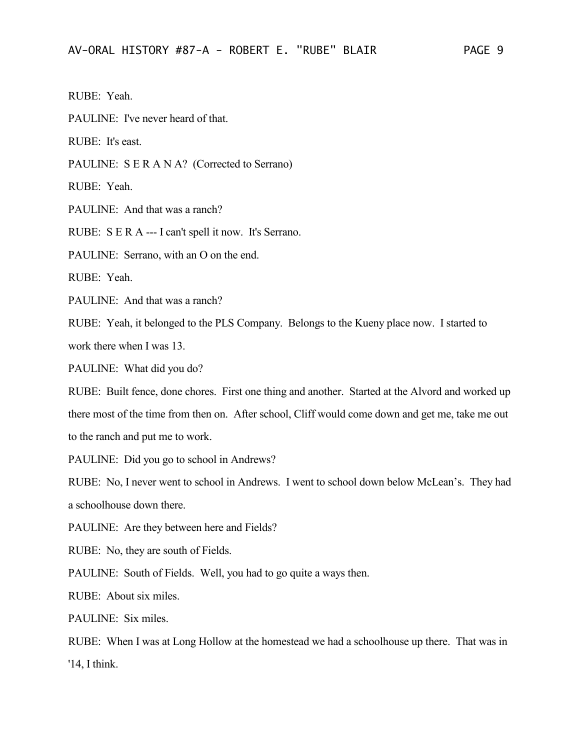RUBE: Yeah.

PAULINE: I've never heard of that.

RUBE: It's east.

PAULINE: S E R A N A? (Corrected to Serrano)

RUBE: Yeah.

PAULINE: And that was a ranch?

RUBE: S E R A --- I can't spell it now. It's Serrano.

PAULINE: Serrano, with an O on the end.

RUBE: Yeah.

PAULINE: And that was a ranch?

RUBE: Yeah, it belonged to the PLS Company. Belongs to the Kueny place now. I started to work there when I was 13.

PAULINE: What did you do?

RUBE: Built fence, done chores. First one thing and another. Started at the Alvord and worked up there most of the time from then on. After school, Cliff would come down and get me, take me out to the ranch and put me to work.

PAULINE: Did you go to school in Andrews?

RUBE: No, I never went to school in Andrews. I went to school down below McLean's. They had a schoolhouse down there.

PAULINE: Are they between here and Fields?

RUBE: No, they are south of Fields.

PAULINE: South of Fields. Well, you had to go quite a ways then.

RUBE: About six miles.

PAULINE: Six miles.

RUBE: When I was at Long Hollow at the homestead we had a schoolhouse up there. That was in '14, I think.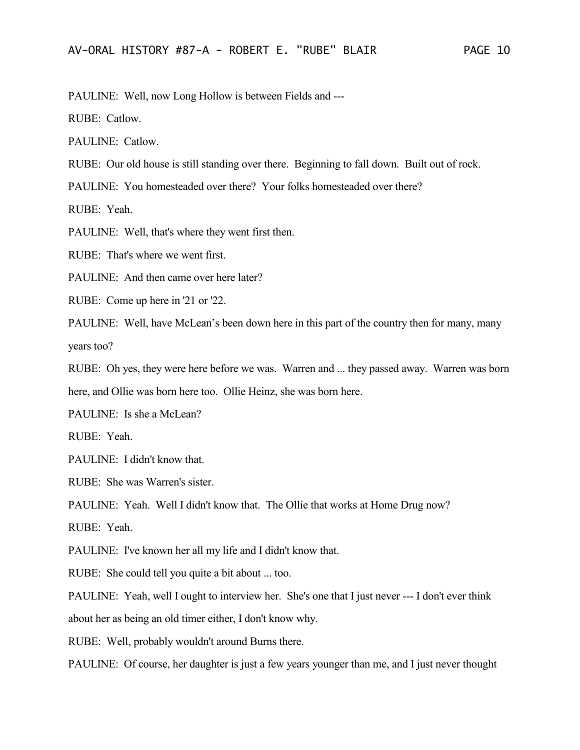PAULINE: Well, now Long Hollow is between Fields and ---

RUBE: Catlow.

PAULINE: Catlow.

RUBE: Our old house is still standing over there. Beginning to fall down. Built out of rock.

PAULINE: You homesteaded over there? Your folks homesteaded over there?

RUBE: Yeah.

PAULINE: Well, that's where they went first then.

RUBE: That's where we went first.

PAULINE: And then came over here later?

RUBE: Come up here in '21 or '22.

PAULINE: Well, have McLean's been down here in this part of the country then for many, many years too?

RUBE: Oh yes, they were here before we was. Warren and ... they passed away. Warren was born here, and Ollie was born here too. Ollie Heinz, she was born here.

PAULINE: Is she a McLean?

RUBE: Yeah.

PAULINE: I didn't know that.

RUBE: She was Warren's sister.

PAULINE: Yeah. Well I didn't know that. The Ollie that works at Home Drug now?

RUBE: Yeah.

PAULINE: I've known her all my life and I didn't know that.

RUBE: She could tell you quite a bit about ... too.

PAULINE: Yeah, well I ought to interview her. She's one that I just never --- I don't ever think about her as being an old timer either, I don't know why.

RUBE: Well, probably wouldn't around Burns there.

PAULINE: Of course, her daughter is just a few years younger than me, and I just never thought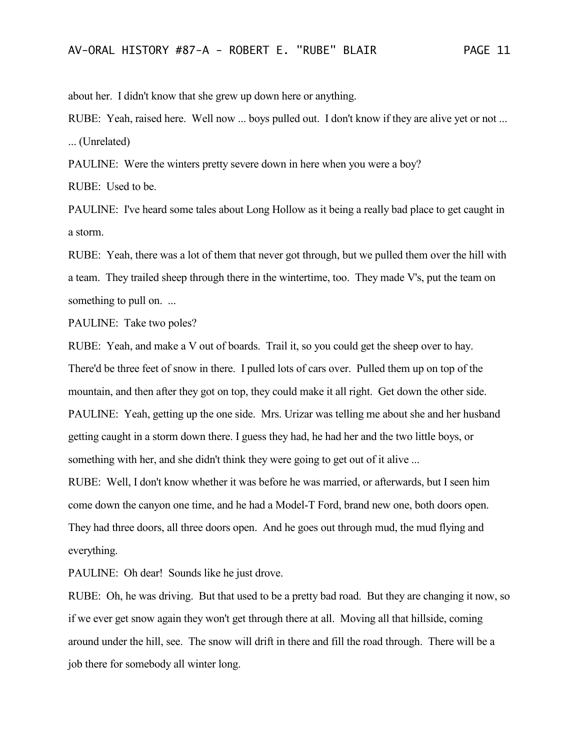about her. I didn't know that she grew up down here or anything.

RUBE: Yeah, raised here. Well now ... boys pulled out. I don't know if they are alive yet or not ... ... (Unrelated)

PAULINE: Were the winters pretty severe down in here when you were a boy?

RUBE: Used to be.

PAULINE: I've heard some tales about Long Hollow as it being a really bad place to get caught in a storm.

RUBE: Yeah, there was a lot of them that never got through, but we pulled them over the hill with a team. They trailed sheep through there in the wintertime, too. They made V's, put the team on something to pull on. ...

PAULINE: Take two poles?

RUBE: Yeah, and make a V out of boards. Trail it, so you could get the sheep over to hay. There'd be three feet of snow in there. I pulled lots of cars over. Pulled them up on top of the mountain, and then after they got on top, they could make it all right. Get down the other side. PAULINE: Yeah, getting up the one side. Mrs. Urizar was telling me about she and her husband getting caught in a storm down there. I guess they had, he had her and the two little boys, or something with her, and she didn't think they were going to get out of it alive ...

RUBE: Well, I don't know whether it was before he was married, or afterwards, but I seen him come down the canyon one time, and he had a Model-T Ford, brand new one, both doors open. They had three doors, all three doors open. And he goes out through mud, the mud flying and everything.

PAULINE: Oh dear! Sounds like he just drove.

RUBE: Oh, he was driving. But that used to be a pretty bad road. But they are changing it now, so if we ever get snow again they won't get through there at all. Moving all that hillside, coming around under the hill, see. The snow will drift in there and fill the road through. There will be a job there for somebody all winter long.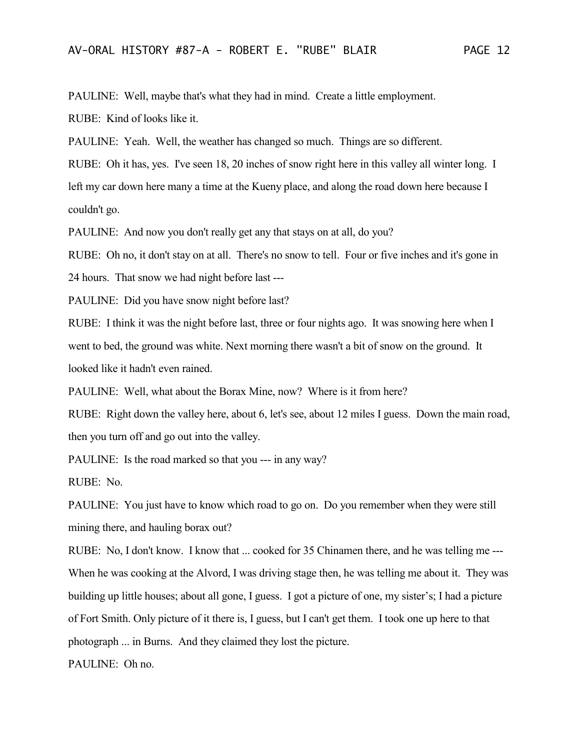PAULINE: Well, maybe that's what they had in mind. Create a little employment.

RUBE: Kind of looks like it.

PAULINE: Yeah. Well, the weather has changed so much. Things are so different.

RUBE: Oh it has, yes. I've seen 18, 20 inches of snow right here in this valley all winter long. I left my car down here many a time at the Kueny place, and along the road down here because I couldn't go.

PAULINE: And now you don't really get any that stays on at all, do you?

RUBE: Oh no, it don't stay on at all. There's no snow to tell. Four or five inches and it's gone in

24 hours. That snow we had night before last ---

PAULINE: Did you have snow night before last?

RUBE: I think it was the night before last, three or four nights ago. It was snowing here when I went to bed, the ground was white. Next morning there wasn't a bit of snow on the ground. It looked like it hadn't even rained.

PAULINE: Well, what about the Borax Mine, now? Where is it from here?

RUBE: Right down the valley here, about 6, let's see, about 12 miles I guess. Down the main road, then you turn off and go out into the valley.

PAULINE: Is the road marked so that you --- in any way?

RUBE: No.

PAULINE: You just have to know which road to go on. Do you remember when they were still mining there, and hauling borax out?

RUBE: No, I don't know. I know that ... cooked for 35 Chinamen there, and he was telling me --- When he was cooking at the Alvord, I was driving stage then, he was telling me about it. They was building up little houses; about all gone, I guess. I got a picture of one, my sister's; I had a picture of Fort Smith. Only picture of it there is, I guess, but I can't get them. I took one up here to that photograph ... in Burns. And they claimed they lost the picture.

PAULINE: Oh no.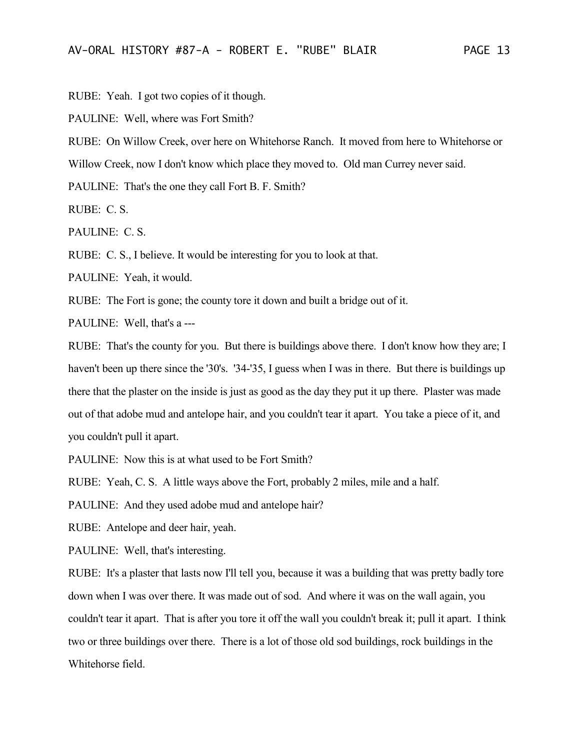RUBE: Yeah. I got two copies of it though.

PAULINE: Well, where was Fort Smith?

RUBE: On Willow Creek, over here on Whitehorse Ranch. It moved from here to Whitehorse or

Willow Creek, now I don't know which place they moved to. Old man Currey never said.

PAULINE: That's the one they call Fort B. F. Smith?

RUBE: C. S.

PAULINE: C. S.

RUBE: C. S., I believe. It would be interesting for you to look at that.

PAULINE: Yeah, it would.

RUBE: The Fort is gone; the county tore it down and built a bridge out of it.

PAULINE: Well, that's a ---

RUBE: That's the county for you. But there is buildings above there. I don't know how they are; I haven't been up there since the '30's. '34-'35, I guess when I was in there. But there is buildings up there that the plaster on the inside is just as good as the day they put it up there. Plaster was made out of that adobe mud and antelope hair, and you couldn't tear it apart. You take a piece of it, and you couldn't pull it apart.

PAULINE: Now this is at what used to be Fort Smith?

RUBE: Yeah, C. S. A little ways above the Fort, probably 2 miles, mile and a half.

PAULINE: And they used adobe mud and antelope hair?

RUBE: Antelope and deer hair, yeah.

PAULINE: Well, that's interesting.

RUBE: It's a plaster that lasts now I'll tell you, because it was a building that was pretty badly tore down when I was over there. It was made out of sod. And where it was on the wall again, you couldn't tear it apart. That is after you tore it off the wall you couldn't break it; pull it apart. I think two or three buildings over there. There is a lot of those old sod buildings, rock buildings in the Whitehorse field.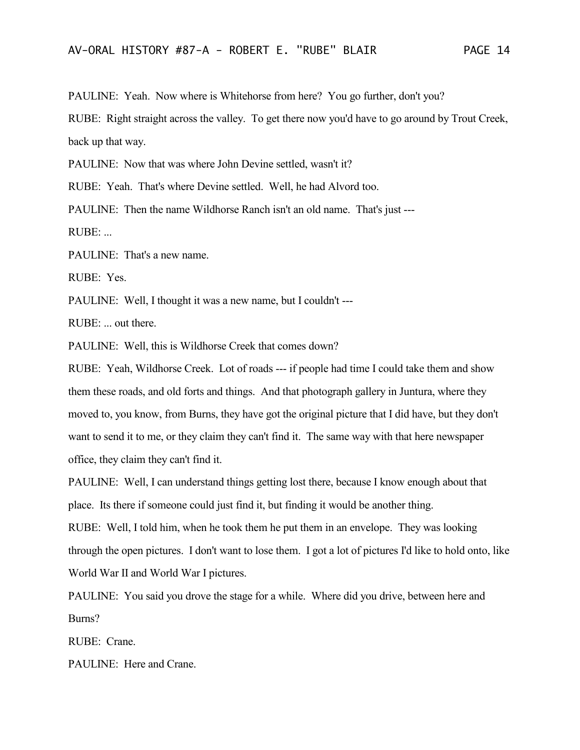PAULINE: Yeah. Now where is Whitehorse from here? You go further, don't you?

RUBE: Right straight across the valley. To get there now you'd have to go around by Trout Creek, back up that way.

PAULINE: Now that was where John Devine settled, wasn't it?

RUBE: Yeah. That's where Devine settled. Well, he had Alvord too.

PAULINE: Then the name Wildhorse Ranch isn't an old name. That's just ---

RUBE: ...

PAULINE: That's a new name.

RUBE: Yes.

PAULINE: Well, I thought it was a new name, but I couldn't ---

RUBE: ... out there.

PAULINE: Well, this is Wildhorse Creek that comes down?

RUBE: Yeah, Wildhorse Creek. Lot of roads --- if people had time I could take them and show them these roads, and old forts and things. And that photograph gallery in Juntura, where they moved to, you know, from Burns, they have got the original picture that I did have, but they don't want to send it to me, or they claim they can't find it. The same way with that here newspaper office, they claim they can't find it.

PAULINE: Well, I can understand things getting lost there, because I know enough about that place. Its there if someone could just find it, but finding it would be another thing.

RUBE: Well, I told him, when he took them he put them in an envelope. They was looking through the open pictures. I don't want to lose them. I got a lot of pictures I'd like to hold onto, like World War II and World War I pictures.

PAULINE: You said you drove the stage for a while. Where did you drive, between here and Burns?

RUBE: Crane.

PAULINE: Here and Crane.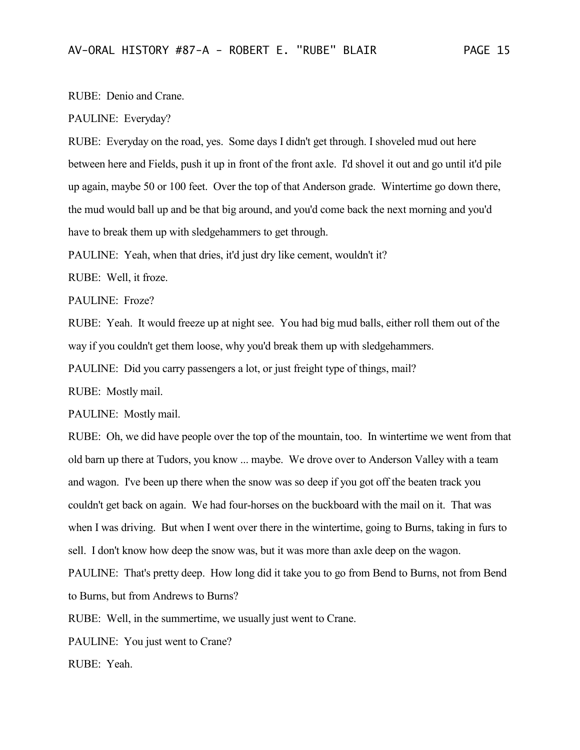## RUBE: Denio and Crane.

## PAULINE: Everyday?

RUBE: Everyday on the road, yes. Some days I didn't get through. I shoveled mud out here between here and Fields, push it up in front of the front axle. I'd shovel it out and go until it'd pile up again, maybe 50 or 100 feet. Over the top of that Anderson grade. Wintertime go down there, the mud would ball up and be that big around, and you'd come back the next morning and you'd have to break them up with sledgehammers to get through.

PAULINE: Yeah, when that dries, it'd just dry like cement, wouldn't it?

RUBE: Well, it froze.

PAULINE: Froze?

RUBE: Yeah. It would freeze up at night see. You had big mud balls, either roll them out of the way if you couldn't get them loose, why you'd break them up with sledgehammers.

PAULINE: Did you carry passengers a lot, or just freight type of things, mail?

RUBE: Mostly mail.

PAULINE: Mostly mail.

RUBE: Oh, we did have people over the top of the mountain, too. In wintertime we went from that old barn up there at Tudors, you know ... maybe. We drove over to Anderson Valley with a team and wagon. I've been up there when the snow was so deep if you got off the beaten track you couldn't get back on again. We had four-horses on the buckboard with the mail on it. That was when I was driving. But when I went over there in the wintertime, going to Burns, taking in furs to sell. I don't know how deep the snow was, but it was more than axle deep on the wagon. PAULINE: That's pretty deep. How long did it take you to go from Bend to Burns, not from Bend to Burns, but from Andrews to Burns?

RUBE: Well, in the summertime, we usually just went to Crane.

PAULINE: You just went to Crane?

RUBE: Yeah.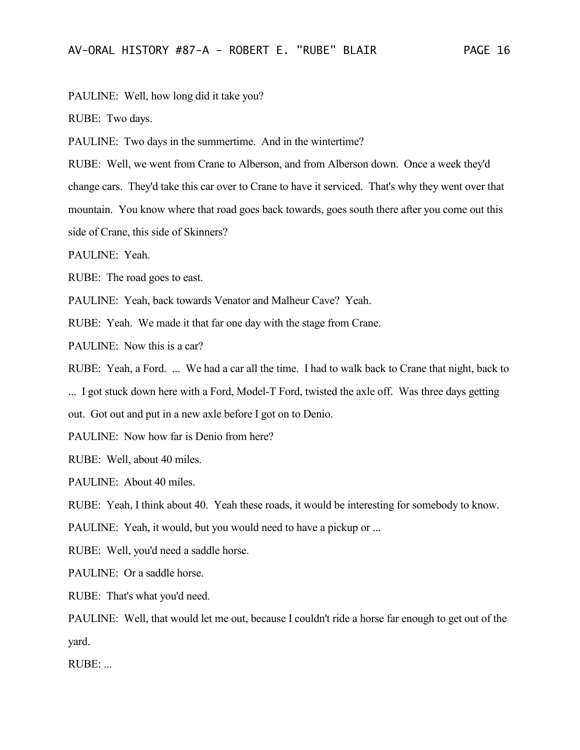PAULINE: Well, how long did it take you?

RUBE: Two days.

PAULINE: Two days in the summertime. And in the wintertime?

RUBE: Well, we went from Crane to Alberson, and from Alberson down. Once a week they'd change cars. They'd take this car over to Crane to have it serviced. That's why they went over that mountain. You know where that road goes back towards, goes south there after you come out this side of Crane, this side of Skinners?

PAULINE: Yeah.

RUBE: The road goes to east.

PAULINE: Yeah, back towards Venator and Malheur Cave? Yeah.

RUBE: Yeah. We made it that far one day with the stage from Crane.

PAULINE: Now this is a car?

RUBE: Yeah, a Ford. ... We had a car all the time. I had to walk back to Crane that night, back to

... I got stuck down here with a Ford, Model-T Ford, twisted the axle off. Was three days getting

out. Got out and put in a new axle before I got on to Denio.

PAULINE: Now how far is Denio from here?

RUBE: Well, about 40 miles.

PAULINE: About 40 miles.

RUBE: Yeah, I think about 40. Yeah these roads, it would be interesting for somebody to know.

PAULINE: Yeah, it would, but you would need to have a pickup or ...

RUBE: Well, you'd need a saddle horse.

PAULINE: Or a saddle horse.

RUBE: That's what you'd need.

PAULINE: Well, that would let me out, because I couldn't ride a horse far enough to get out of the yard.

RUBE: ...